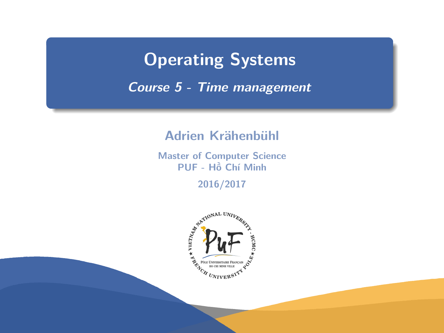# <span id="page-0-0"></span>**Operating Systems**

**Course 5 - Time management**

#### **Adrien Krähenbühl**

**Master of Computer Science PUF - Hồ Chí Minh**

**2016/2017**

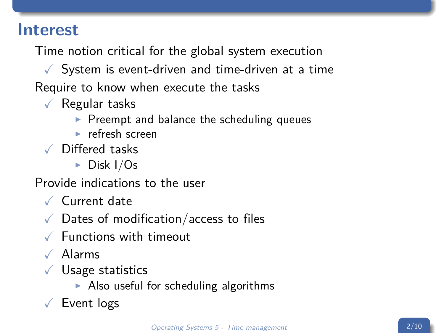### **Interest**

Time notion critical for the global system execution

 $\sqrt{\ }$  System is event-driven and time-driven at a time Require to know when execute the tasks

- $\sqrt{\ }$  Regular tasks
	- $\blacktriangleright$  Preempt and balance the scheduling queues
	- $\blacktriangleright$  refresh screen
- X Differed tasks
	- $\triangleright$  Disk I/Os

Provide indications to the user

- $\sqrt{}$  Current date
- $\sqrt{\phantom{a}}$  Dates of modification/access to files
- $\sqrt{\phantom{a}}$  Functions with timeout
- $\sqrt{\phantom{a}}$  Alarms
- $\sqrt{\ }$  Usage statistics
	- $\triangleright$  Also useful for scheduling algorithms
- $\sqrt{\ }$  Event logs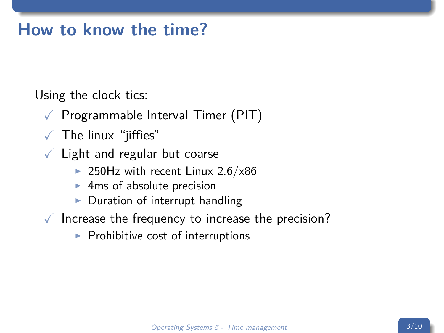# **How to know the time?**

Using the clock tics:

- $\sqrt{ }$  Programmable Interval Timer (PIT)
- $\sqrt{\phantom{a}}$  The linux "jiffies"
- $\sqrt{\phantom{a}}$  Light and regular but coarse
	- ▶ 250Hz with recent Linux  $2.6/x86$
	- $\blacktriangleright$  4ms of absolute precision
	- $\triangleright$  Duration of interrupt handling
- $\sqrt{\ }$  Increase the frequency to increase the precision?
	- $\blacktriangleright$  Prohibitive cost of interruptions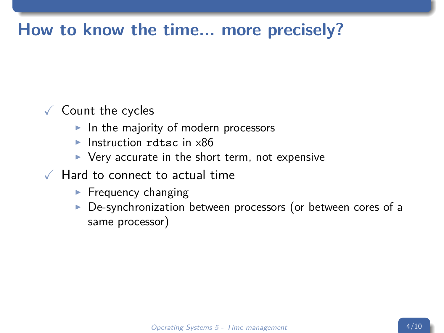# **How to know the time... more precisely?**

#### $\sqrt{\phantom{a}}$  Count the cycles

- $\blacktriangleright$  In the majority of modern processors
- $\blacktriangleright$  Instruction rdtsc in x86
- $\triangleright$  Very accurate in the short term, not expensive
- $\sqrt{ }$  Hard to connect to actual time
	- $\blacktriangleright$  Frequency changing
	- $\triangleright$  De-synchronization between processors (or between cores of a same processor)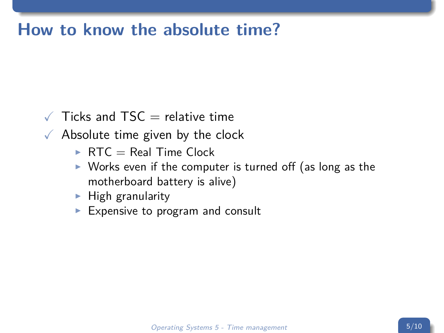# **How to know the absolute time?**

- $\sqrt{ }$  Ticks and TSC = relative time
- $\sqrt{\phantom{a}}$  Absolute time given by the clock
	- $\triangleright$  RTC = Real Time Clock
	- $\triangleright$  Works even if the computer is turned off (as long as the motherboard battery is alive)
	- $\blacktriangleright$  High granularity
	- Expensive to program and consult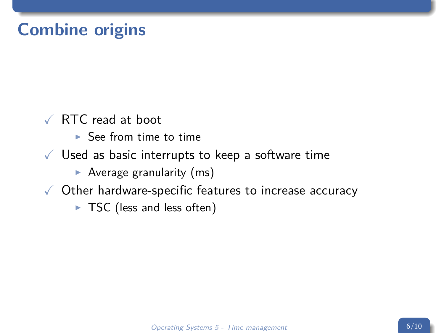# **Combine origins**

- $\sqrt{R}$  RTC read at boot
	- $\blacktriangleright$  See from time to time
- $\sqrt{ }$  Used as basic interrupts to keep a software time
	- $\blacktriangleright$  Average granularity (ms)
- $\sqrt{\phantom{a}}$  Other hardware-specific features to increase accuracy
	- $\triangleright$  TSC (less and less often)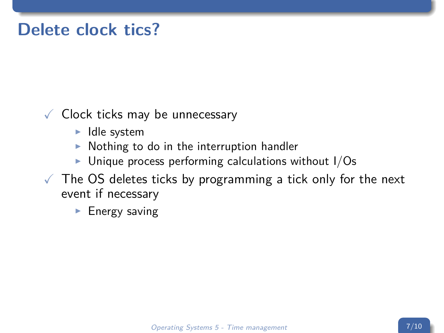# **Delete clock tics?**

#### $\sqrt{\phantom{a}}$  Clock ticks may be unnecessary

- $\blacktriangleright$  Idle system
- $\triangleright$  Nothing to do in the interruption handler
- $\triangleright$  Unique process performing calculations without I/Os
- $\sqrt{ }$  The OS deletes ticks by programming a tick only for the next event if necessary
	- $\blacktriangleright$  Energy saving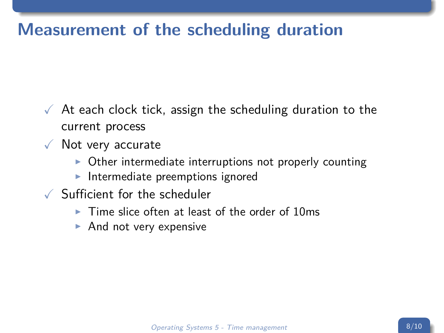# **Measurement of the scheduling duration**

- $\sqrt{ }$  At each clock tick, assign the scheduling duration to the current process
- $\sqrt{\ }$  Not very accurate
	- $\triangleright$  Other intermediate interruptions not properly counting
	- Intermediate preemptions ignored
- X Sufficient for the scheduler
	- $\triangleright$  Time slice often at least of the order of 10ms
	- $\blacktriangleright$  And not very expensive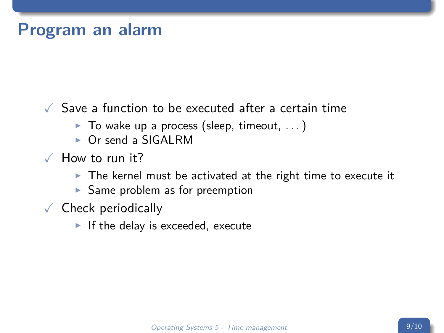### **Program an alarm**

 $\sqrt{2}$  Save a function to be executed after a certain time

- $\blacktriangleright$  To wake up a process (sleep, timeout, ...)
- $\triangleright$  Or send a SIGALRM
- $\sqrt{ }$  How to run it?
	- $\triangleright$  The kernel must be activated at the right time to execute it
	- $\blacktriangleright$  Same problem as for preemption
- $\checkmark$  Check periodically
	- If the delay is exceeded, execute